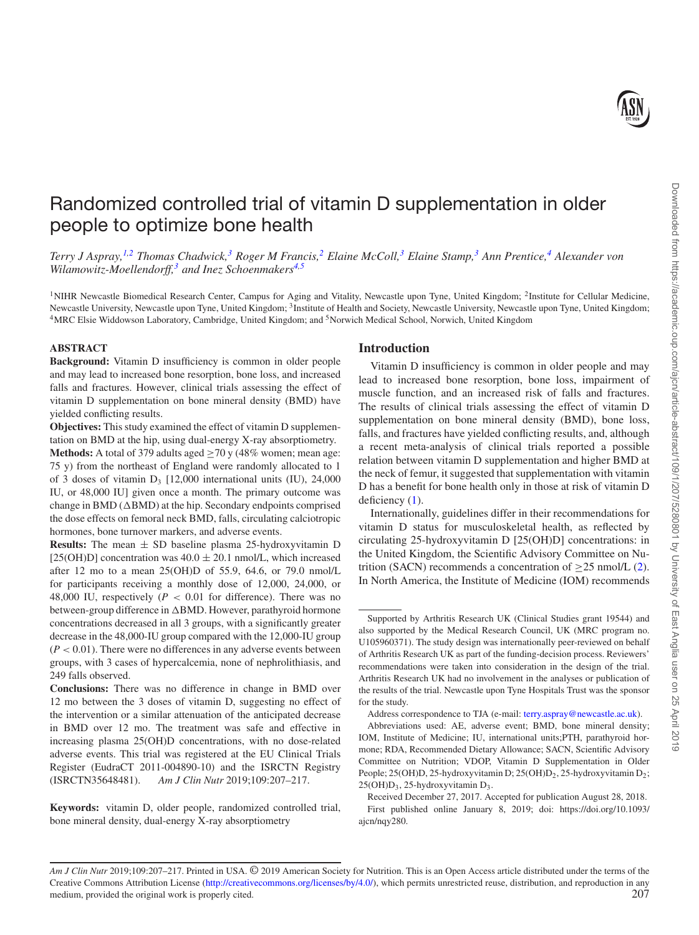

# Randomized controlled trial of vitamin D supplementation in older people to optimize bone health

*Terry J Aspray,[1](#page-0-0)[,2](#page-0-1) Thomas Chadwick[,3](#page-0-2) Roger M Francis[,2](#page-0-1) Elaine McColl[,3](#page-0-2) Elaine Stamp,[3](#page-0-2) Ann Prentice,[4](#page-0-3) Alexander von Wilamowitz-Moellendorff,[3](#page-0-2) and Inez Schoenmakers[4](#page-0-3)[,5](#page-0-4)*

<span id="page-0-0"></span><sup>1</sup>NIHR Newcastle Biomedical Research Center, Campus for Aging and Vitality, Newcastle upon Tyne, United Kingdom; <sup>2</sup>Institute for Cellular Medicine, Newcastle University, Newcastle upon Tyne, United Kingdom; 3Institute of Health and Society, Newcastle University, Newcastle upon Tyne, United Kingdom; <sup>4</sup>MRC Elsie Widdowson Laboratory, Cambridge, United Kingdom; and <sup>5</sup>Norwich Medical School, Norwich, United Kingdom

### <span id="page-0-3"></span>**ABSTRACT**

**Background:** Vitamin D insufficiency is common in older people and may lead to increased bone resorption, bone loss, and increased falls and fractures. However, clinical trials assessing the effect of vitamin D supplementation on bone mineral density (BMD) have yielded conflicting results.

**Objectives:** This study examined the effect of vitamin D supplementation on BMD at the hip, using dual-energy X-ray absorptiometry. **Methods:** A total of 379 adults aged  $\geq$  70 y (48% women; mean age: 75 y) from the northeast of England were randomly allocated to 1 of 3 doses of vitamin  $D_3$  [12,000 international units (IU), 24,000 IU, or 48,000 IU] given once a month. The primary outcome was change in BMD  $(\triangle BMD)$  at the hip. Secondary endpoints comprised the dose effects on femoral neck BMD, falls, circulating calciotropic hormones, bone turnover markers, and adverse events.

**Results:** The mean  $\pm$  SD baseline plasma 25-hydroxyvitamin D [25(OH)D] concentration was  $40.0 \pm 20.1$  nmol/L, which increased after 12 mo to a mean 25(OH)D of 55.9, 64.6, or 79.0 nmol/L for participants receiving a monthly dose of 12,000, 24,000, or 48,000 IU, respectively  $(P < 0.01$  for difference). There was no between-group difference in  $\Delta \text{BMD}$ . However, parathyroid hormone concentrations decreased in all 3 groups, with a significantly greater decrease in the 48,000-IU group compared with the 12,000-IU group  $(P < 0.01)$ . There were no differences in any adverse events between groups, with 3 cases of hypercalcemia, none of nephrolithiasis, and 249 falls observed.

**Conclusions:** There was no difference in change in BMD over 12 mo between the 3 doses of vitamin D, suggesting no effect of the intervention or a similar attenuation of the anticipated decrease in BMD over 12 mo. The treatment was safe and effective in increasing plasma 25(OH)D concentrations, with no dose-related adverse events. This trial was registered at the EU Clinical Trials Register (EudraCT 2011-004890-10) and the ISRCTN Registry (ISRCTN35648481). *Am J Clin Nutr* 2019;109:207–217.

**Keywords:** vitamin D, older people, randomized controlled trial, bone mineral density, dual-energy X-ray absorptiometry

### <span id="page-0-4"></span><span id="page-0-2"></span><span id="page-0-1"></span>**Introduction**

Vitamin D insufficiency is common in older people and may lead to increased bone resorption, bone loss, impairment of muscle function, and an increased risk of falls and fractures. The results of clinical trials assessing the effect of vitamin D supplementation on bone mineral density (BMD), bone loss, falls, and fractures have yielded conflicting results, and, although a recent meta-analysis of clinical trials reported a possible relation between vitamin D supplementation and higher BMD at the neck of femur, it suggested that supplementation with vitamin D has a benefit for bone health only in those at risk of vitamin D deficiency [\(1\)](#page-9-0).

Internationally, guidelines differ in their recommendations for vitamin D status for musculoskeletal health, as reflected by circulating 25-hydroxyvitamin D [25(OH)D] concentrations: in the United Kingdom, the Scientific Advisory Committee on Nutrition (SACN) recommends a concentration of  $>25$  nmol/L [\(2\)](#page-9-1). In North America, the Institute of Medicine (IOM) recommends

Supported by Arthritis Research UK (Clinical Studies grant 19544) and also supported by the Medical Research Council, UK (MRC program no. U105960371). The study design was internationally peer-reviewed on behalf of Arthritis Research UK as part of the funding-decision process. Reviewers' recommendations were taken into consideration in the design of the trial. Arthritis Research UK had no involvement in the analyses or publication of the results of the trial. Newcastle upon Tyne Hospitals Trust was the sponsor for the study.

Address correspondence to TJA (e-mail: [terry.aspray@newcastle.ac.uk\)](mailto:terry.aspray@newcastle.ac.uk).

Abbreviations used: AE, adverse event; BMD, bone mineral density; IOM, Institute of Medicine; IU, international units;PTH, parathyroid hormone; RDA, Recommended Dietary Allowance; SACN, Scientific Advisory Committee on Nutrition; VDOP, Vitamin D Supplementation in Older People; 25(OH)D, 25-hydroxyvitamin D; 25(OH) $D_2$ , 25-hydroxyvitamin  $D_2$ ; 25(OH)D3, 25-hydroxyvitamin D3.

Received December 27, 2017. Accepted for publication August 28, 2018. First published online January 8, 2019; doi: https://doi.org/10.1093/ ajcn/nqy280.

*Am J Clin Nutr* 2019;109:207–217. Printed in USA. © 2019 American Society for Nutrition. This is an Open Access article distributed under the terms of the Creative Commons Attribution License [\(http://creativecommons.org/licenses/by/4.0/\)](http://creativecommons.org/licenses/by/4.0/), which permits unrestricted reuse, distribution, and reproduction in any medium, provided the original work is properly cited. 207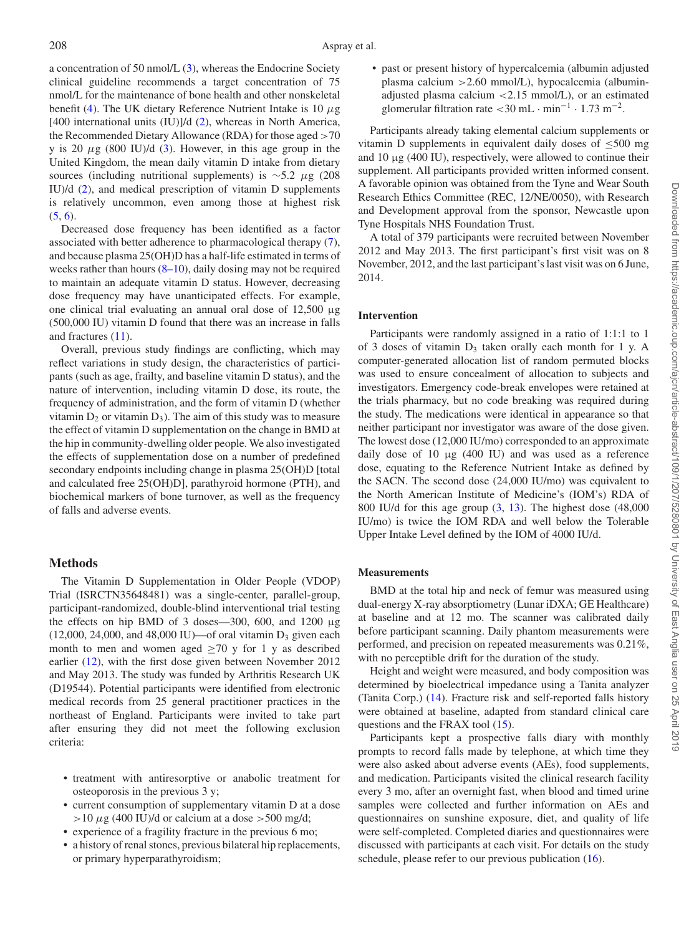a concentration of 50 nmol/L [\(3\)](#page-9-2), whereas the Endocrine Society clinical guideline recommends a target concentration of 75 nmol/L for the maintenance of bone health and other nonskeletal benefit [\(4\)](#page-9-3). The UK dietary Reference Nutrient Intake is 10  $\mu$ g [400 international units (IU)]/d [\(2\)](#page-9-1), whereas in North America, the Recommended Dietary Allowance (RDA) for those aged >70 y is 20  $\mu$ g (800 IU)/d [\(3\)](#page-9-2). However, in this age group in the United Kingdom, the mean daily vitamin D intake from dietary sources (including nutritional supplements) is ∼5.2  $\mu$ g (208 IU)/d [\(2\)](#page-9-1), and medical prescription of vitamin D supplements is relatively uncommon, even among those at highest risk  $(5, 6)$  $(5, 6)$  $(5, 6)$ .

Decreased dose frequency has been identified as a factor associated with better adherence to pharmacological therapy [\(7\)](#page-9-6), and because plasma 25(OH)D has a half-life estimated in terms of weeks rather than hours [\(8–10\)](#page-9-7), daily dosing may not be required to maintain an adequate vitamin D status. However, decreasing dose frequency may have unanticipated effects. For example, one clinical trial evaluating an annual oral dose of 12,500 μg (500,000 IU) vitamin D found that there was an increase in falls and fractures [\(11\)](#page-9-8).

Overall, previous study findings are conflicting, which may reflect variations in study design, the characteristics of participants (such as age, frailty, and baseline vitamin D status), and the nature of intervention, including vitamin D dose, its route, the frequency of administration, and the form of vitamin D (whether vitamin  $D_2$  or vitamin  $D_3$ ). The aim of this study was to measure the effect of vitamin D supplementation on the change in BMD at the hip in community-dwelling older people. We also investigated the effects of supplementation dose on a number of predefined secondary endpoints including change in plasma 25(OH)D [total and calculated free 25(OH)D], parathyroid hormone (PTH), and biochemical markers of bone turnover, as well as the frequency of falls and adverse events.

### **Methods**

The Vitamin D Supplementation in Older People (VDOP) Trial (ISRCTN35648481) was a single-center, parallel-group, participant-randomized, double-blind interventional trial testing the effects on hip BMD of 3 doses—300, 600, and 1200 μg  $(12,000, 24,000,$  and 48,000 IU)—of oral vitamin  $D_3$  given each month to men and women aged  $>70$  y for 1 y as described earlier [\(12\)](#page-9-9), with the first dose given between November 2012 and May 2013. The study was funded by Arthritis Research UK (D19544). Potential participants were identified from electronic medical records from 25 general practitioner practices in the northeast of England. Participants were invited to take part after ensuring they did not meet the following exclusion criteria:

- treatment with antiresorptive or anabolic treatment for osteoporosis in the previous 3 y;
- current consumption of supplementary vitamin D at a dose  $>10 \mu$ g (400 IU)/d or calcium at a dose  $>500 \text{ mg/d}$ ;
- experience of a fragility fracture in the previous 6 mo;
- a history of renal stones, previous bilateral hip replacements, or primary hyperparathyroidism;

• past or present history of hypercalcemia (albumin adjusted plasma calcium >2.60 mmol/L), hypocalcemia (albuminadjusted plasma calcium <2.15 mmol/L), or an estimated glomerular filtration rate  $\lt 30$  mL · min<sup>-1</sup> · 1.73 m<sup>-2</sup>.

Participants already taking elemental calcium supplements or vitamin D supplements in equivalent daily doses of ≤500 mg and 10 μg (400 IU), respectively, were allowed to continue their supplement. All participants provided written informed consent. A favorable opinion was obtained from the Tyne and Wear South Research Ethics Committee (REC, 12/NE/0050), with Research and Development approval from the sponsor, Newcastle upon Tyne Hospitals NHS Foundation Trust.

A total of 379 participants were recruited between November 2012 and May 2013. The first participant's first visit was on 8 November, 2012, and the last participant's last visit was on 6 June, 2014.

### **Intervention**

Participants were randomly assigned in a ratio of 1:1:1 to 1 of 3 doses of vitamin  $D_3$  taken orally each month for 1 y. A computer-generated allocation list of random permuted blocks was used to ensure concealment of allocation to subjects and investigators. Emergency code-break envelopes were retained at the trials pharmacy, but no code breaking was required during the study. The medications were identical in appearance so that neither participant nor investigator was aware of the dose given. The lowest dose (12,000 IU/mo) corresponded to an approximate daily dose of 10 μg (400 IU) and was used as a reference dose, equating to the Reference Nutrient Intake as defined by the SACN. The second dose (24,000 IU/mo) was equivalent to the North American Institute of Medicine's (IOM's) RDA of 800 IU/d for this age group [\(3,](#page-9-2) [13\)](#page-9-10). The highest dose (48,000 IU/mo) is twice the IOM RDA and well below the Tolerable Upper Intake Level defined by the IOM of 4000 IU/d.

### **Measurements**

BMD at the total hip and neck of femur was measured using dual-energy X-ray absorptiometry (Lunar iDXA; GE Healthcare) at baseline and at 12 mo. The scanner was calibrated daily before participant scanning. Daily phantom measurements were performed, and precision on repeated measurements was 0.21%, with no perceptible drift for the duration of the study.

Height and weight were measured, and body composition was determined by bioelectrical impedance using a Tanita analyzer (Tanita Corp.) [\(14\)](#page-9-11). Fracture risk and self-reported falls history were obtained at baseline, adapted from standard clinical care questions and the FRAX tool [\(15\)](#page-9-12).

Participants kept a prospective falls diary with monthly prompts to record falls made by telephone, at which time they were also asked about adverse events (AEs), food supplements, and medication. Participants visited the clinical research facility every 3 mo, after an overnight fast, when blood and timed urine samples were collected and further information on AEs and questionnaires on sunshine exposure, diet, and quality of life were self-completed. Completed diaries and questionnaires were discussed with participants at each visit. For details on the study schedule, please refer to our previous publication  $(16)$ .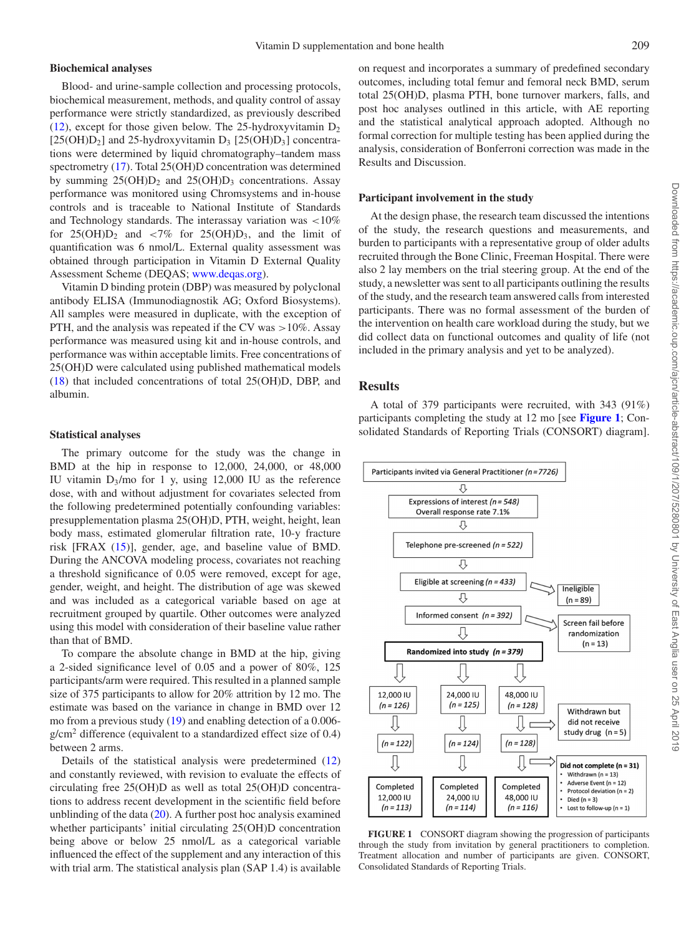### **Biochemical analyses**

Blood- and urine-sample collection and processing protocols, biochemical measurement, methods, and quality control of assay performance were strictly standardized, as previously described [\(12\)](#page-9-9), except for those given below. The 25-hydroxyvitamin  $D_2$  $[25(OH)D<sub>2</sub>]$  and 25-hydroxyvitamin  $D<sub>3</sub>$   $[25(OH)D<sub>3</sub>]$  concentrations were determined by liquid chromatography–tandem mass spectrometry [\(17\)](#page-9-14). Total 25(OH)D concentration was determined by summing  $25(OH)D_2$  and  $25(OH)D_3$  concentrations. Assay performance was monitored using Chromsystems and in-house controls and is traceable to National Institute of Standards and Technology standards. The interassay variation was <10% for  $25(OH)D_2$  and  $\langle 7\%$  for  $25(OH)D_3$ , and the limit of quantification was 6 nmol/L. External quality assessment was obtained through participation in Vitamin D External Quality Assessment Scheme (DEQAS; [www.deqas.org\)](http://www.deqas.org).

Vitamin D binding protein (DBP) was measured by polyclonal antibody ELISA (Immunodiagnostik AG; Oxford Biosystems). All samples were measured in duplicate, with the exception of PTH, and the analysis was repeated if the CV was  $>10\%$ . Assay performance was measured using kit and in-house controls, and performance was within acceptable limits. Free concentrations of 25(OH)D were calculated using published mathematical models [\(18\)](#page-9-15) that included concentrations of total 25(OH)D, DBP, and albumin.

### **Statistical analyses**

The primary outcome for the study was the change in BMD at the hip in response to 12,000, 24,000, or 48,000 IU vitamin  $D_3/mo$  for 1 y, using 12,000 IU as the reference dose, with and without adjustment for covariates selected from the following predetermined potentially confounding variables: presupplementation plasma 25(OH)D, PTH, weight, height, lean body mass, estimated glomerular filtration rate, 10-y fracture risk [FRAX [\(15\)](#page-9-12)], gender, age, and baseline value of BMD. During the ANCOVA modeling process, covariates not reaching a threshold significance of 0.05 were removed, except for age, gender, weight, and height. The distribution of age was skewed and was included as a categorical variable based on age at recruitment grouped by quartile. Other outcomes were analyzed using this model with consideration of their baseline value rather than that of BMD.

To compare the absolute change in BMD at the hip, giving a 2-sided significance level of 0.05 and a power of 80%, 125 participants/arm were required. This resulted in a planned sample size of 375 participants to allow for 20% attrition by 12 mo. The estimate was based on the variance in change in BMD over 12 mo from a previous study [\(19\)](#page-9-16) and enabling detection of a 0.006  $g/cm<sup>2</sup>$  difference (equivalent to a standardized effect size of 0.4) between 2 arms.

Details of the statistical analysis were predetermined [\(12\)](#page-9-9) and constantly reviewed, with revision to evaluate the effects of circulating free 25(OH)D as well as total 25(OH)D concentrations to address recent development in the scientific field before unblinding of the data [\(20\)](#page-9-17). A further post hoc analysis examined whether participants' initial circulating 25(OH)D concentration being above or below 25 nmol/L as a categorical variable influenced the effect of the supplement and any interaction of this with trial arm. The statistical analysis plan (SAP 1.4) is available

on request and incorporates a summary of predefined secondary outcomes, including total femur and femoral neck BMD, serum total 25(OH)D, plasma PTH, bone turnover markers, falls, and post hoc analyses outlined in this article, with AE reporting and the statistical analytical approach adopted. Although no formal correction for multiple testing has been applied during the analysis, consideration of Bonferroni correction was made in the Results and Discussion.

### **Participant involvement in the study**

At the design phase, the research team discussed the intentions of the study, the research questions and measurements, and burden to participants with a representative group of older adults recruited through the Bone Clinic, Freeman Hospital. There were also 2 lay members on the trial steering group. At the end of the study, a newsletter was sent to all participants outlining the results of the study, and the research team answered calls from interested participants. There was no formal assessment of the burden of the intervention on health care workload during the study, but we did collect data on functional outcomes and quality of life (not included in the primary analysis and yet to be analyzed).

### **Results**

A total of 379 participants were recruited, with 343 (91%) participants completing the study at 12 mo [see **[Figure 1](#page-2-0)**; Consolidated Standards of Reporting Trials (CONSORT) diagram].

<span id="page-2-0"></span>

**FIGURE 1** CONSORT diagram showing the progression of participants through the study from invitation by general practitioners to completion. Treatment allocation and number of participants are given. CONSORT, Consolidated Standards of Reporting Trials.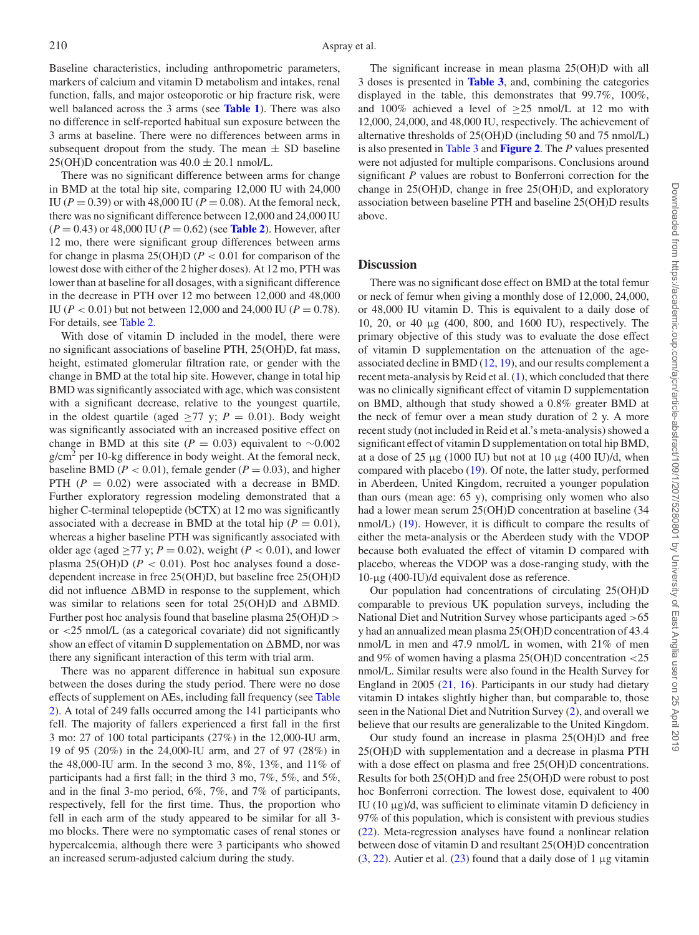Baseline characteristics, including anthropometric parameters, markers of calcium and vitamin D metabolism and intakes, renal function, falls, and major osteoporotic or hip fracture risk, were well balanced across the 3 arms (see **[Table 1](#page-4-0)**). There was also no difference in self-reported habitual sun exposure between the 3 arms at baseline. There were no differences between arms in subsequent dropout from the study. The mean  $\pm$  SD baseline 25(OH)D concentration was  $40.0 \pm 20.1$  nmol/L.

There was no significant difference between arms for change in BMD at the total hip site, comparing 12,000 IU with 24,000 IU ( $P = 0.39$ ) or with 48,000 IU ( $P = 0.08$ ). At the femoral neck, there was no significant difference between 12,000 and 24,000 IU (*P* = 0.43) or 48,000 IU (*P* = 0.62) (see **[Table 2](#page-6-0)**). However, after 12 mo, there were significant group differences between arms for change in plasma 25(OH)D (*P* < 0.01 for comparison of the lowest dose with either of the 2 higher doses). At 12 mo, PTH was lower than at baseline for all dosages, with a significant difference in the decrease in PTH over 12 mo between 12,000 and 48,000 IU ( $P < 0.01$ ) but not between 12,000 and 24,000 IU ( $P = 0.78$ ). For details, see [Table 2.](#page-6-0)

With dose of vitamin D included in the model, there were no significant associations of baseline PTH, 25(OH)D, fat mass, height, estimated glomerular filtration rate, or gender with the change in BMD at the total hip site. However, change in total hip BMD was significantly associated with age, which was consistent with a significant decrease, relative to the youngest quartile, in the oldest quartile (aged  $\geq$ 77 y; *P* = 0.01). Body weight was significantly associated with an increased positive effect on change in BMD at this site ( $P = 0.03$ ) equivalent to ~0.002  $g/cm<sup>2</sup>$  per 10-kg difference in body weight. At the femoral neck, baseline BMD ( $P < 0.01$ ), female gender ( $P = 0.03$ ), and higher PTH  $(P = 0.02)$  were associated with a decrease in BMD. Further exploratory regression modeling demonstrated that a higher C-terminal telopeptide (bCTX) at 12 mo was significantly associated with a decrease in BMD at the total hip  $(P = 0.01)$ , whereas a higher baseline PTH was significantly associated with older age (aged  $\geq$ 77 y; *P* = 0.02), weight (*P* < 0.01), and lower plasma 25(OH)D ( $P < 0.01$ ). Post hoc analyses found a dosedependent increase in free 25(OH)D, but baseline free 25(OH)D did not influence  $\triangle BMD$  in response to the supplement, which was similar to relations seen for total  $25(OH)D$  and  $\triangle BMD$ . Further post hoc analysis found that baseline plasma 25(OH)D > or <25 nmol/L (as a categorical covariate) did not significantly show an effect of vitamin D supplementation on  $\triangle BMD$ , nor was there any significant interaction of this term with trial arm.

There was no apparent difference in habitual sun exposure between the doses during the study period. There were no dose effects of supplement on AEs, including fall frequency (see Table [2\). A total of 249 falls occurred among the 141 participants who](#page-6-0) fell. The majority of fallers experienced a first fall in the first 3 mo: 27 of 100 total participants (27%) in the 12,000-IU arm, 19 of 95 (20%) in the 24,000-IU arm, and 27 of 97 (28%) in the 48,000-IU arm. In the second 3 mo, 8%, 13%, and 11% of participants had a first fall; in the third 3 mo, 7%, 5%, and 5%, and in the final 3-mo period, 6%, 7%, and 7% of participants, respectively, fell for the first time. Thus, the proportion who fell in each arm of the study appeared to be similar for all 3 mo blocks. There were no symptomatic cases of renal stones or hypercalcemia, although there were 3 participants who showed an increased serum-adjusted calcium during the study.

The significant increase in mean plasma 25(OH)D with all 3 doses is presented in **[Table 3](#page-7-0)**, and, combining the categories displayed in the table, this demonstrates that 99.7%, 100%, and 100% achieved a level of  $\geq$ 25 nmol/L at 12 mo with 12,000, 24,000, and 48,000 IU, respectively. The achievement of alternative thresholds of 25(OH)D (including 50 and 75 nmol/L) is also presented in [Table 3](#page-7-0) and **[Figure 2](#page-8-0)**. The *P* values presented were not adjusted for multiple comparisons. Conclusions around significant *P* values are robust to Bonferroni correction for the change in 25(OH)D, change in free 25(OH)D, and exploratory association between baseline PTH and baseline 25(OH)D results above.

### **Discussion**

There was no significant dose effect on BMD at the total femur or neck of femur when giving a monthly dose of 12,000, 24,000, or 48,000 IU vitamin D. This is equivalent to a daily dose of 10, 20, or 40 μg (400, 800, and 1600 IU), respectively. The primary objective of this study was to evaluate the dose effect of vitamin D supplementation on the attenuation of the ageassociated decline in BMD [\(12,](#page-9-9) [19\)](#page-9-16), and our results complement a recent meta-analysis by Reid et al. [\(1\)](#page-9-0), which concluded that there was no clinically significant effect of vitamin D supplementation on BMD, although that study showed a 0.8% greater BMD at the neck of femur over a mean study duration of 2 y. A more recent study (not included in Reid et al.'s meta-analysis) showed a significant effect of vitamin D supplementation on total hip BMD, at a dose of 25  $\mu$ g (1000 IU) but not at 10  $\mu$ g (400 IU)/d, when compared with placebo [\(19\)](#page-9-16). Of note, the latter study, performed in Aberdeen, United Kingdom, recruited a younger population than ours (mean age: 65 y), comprising only women who also had a lower mean serum 25(OH)D concentration at baseline (34 nmol/L) [\(19\)](#page-9-16). However, it is difficult to compare the results of either the meta-analysis or the Aberdeen study with the VDOP because both evaluated the effect of vitamin D compared with placebo, whereas the VDOP was a dose-ranging study, with the 10-μg (400-IU)/d equivalent dose as reference.

Our population had concentrations of circulating 25(OH)D comparable to previous UK population surveys, including the National Diet and Nutrition Survey whose participants aged >65 y had an annualized mean plasma 25(OH)D concentration of 43.4 nmol/L in men and 47.9 nmol/L in women, with 21% of men and 9% of women having a plasma 25(OH)D concentration <25 nmol/L. Similar results were also found in the Health Survey for England in 2005 [\(21,](#page-9-18) [16\)](#page-9-13). Participants in our study had dietary vitamin D intakes slightly higher than, but comparable to, those seen in the National Diet and Nutrition Survey [\(2\)](#page-9-1), and overall we believe that our results are generalizable to the United Kingdom.

Our study found an increase in plasma 25(OH)D and free 25(OH)D with supplementation and a decrease in plasma PTH with a dose effect on plasma and free 25(OH)D concentrations. Results for both 25(OH)D and free 25(OH)D were robust to post hoc Bonferroni correction. The lowest dose, equivalent to 400 IU (10 μg)/d, was sufficient to eliminate vitamin D deficiency in 97% of this population, which is consistent with previous studies [\(22\)](#page-9-19). Meta-regression analyses have found a nonlinear relation between dose of vitamin D and resultant 25(OH)D concentration  $(3, 22)$  $(3, 22)$  $(3, 22)$ . Autier et al.  $(23)$  found that a daily dose of 1 µg vitamin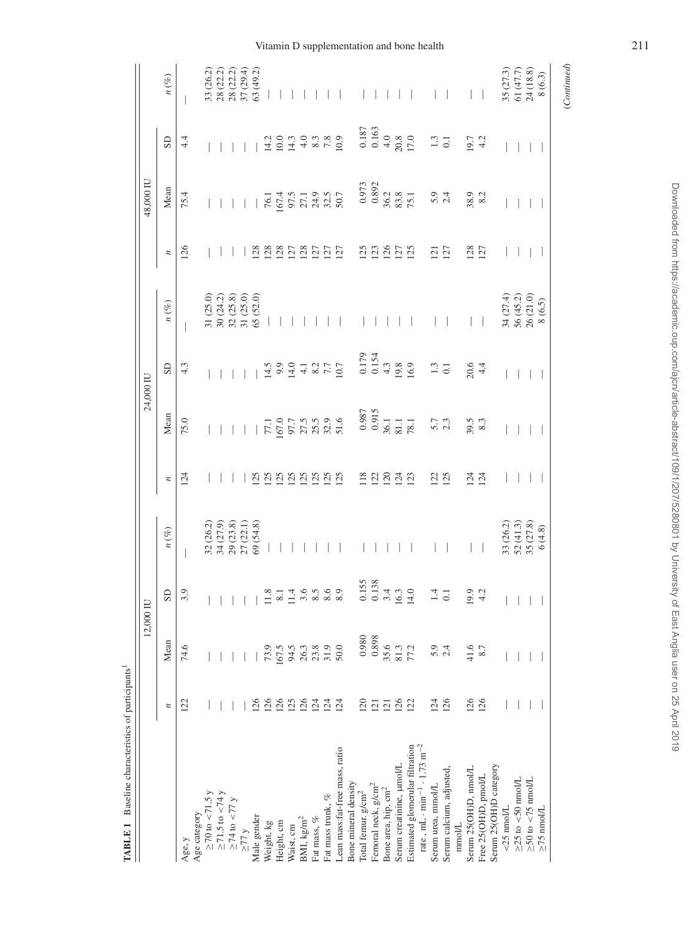|                                                                 |                |                                    | 12,000 IU                                                    |                                                                                                                       |                          |                                                                       | 24,000 IU                                 |                                                                                                                       |                   | 48,000 IU                                                             |                                                                      |                                                               |
|-----------------------------------------------------------------|----------------|------------------------------------|--------------------------------------------------------------|-----------------------------------------------------------------------------------------------------------------------|--------------------------|-----------------------------------------------------------------------|-------------------------------------------|-----------------------------------------------------------------------------------------------------------------------|-------------------|-----------------------------------------------------------------------|----------------------------------------------------------------------|---------------------------------------------------------------|
|                                                                 | $\overline{a}$ | Mean                               | $_{\rm SD}$                                                  | $n\ (\%)$                                                                                                             | $\overline{\phantom{a}}$ | Mean                                                                  | SD                                        | $n(\%)$                                                                                                               | n                 | Mean                                                                  | SD                                                                   | $n\left(\% \right)$                                           |
| Age, y                                                          | 122            | 74.6                               | 3.9                                                          |                                                                                                                       | 124                      | 75.0                                                                  | 4.3                                       |                                                                                                                       | 126               | 75.4                                                                  | 4.4                                                                  |                                                               |
| Age category                                                    |                |                                    |                                                              |                                                                                                                       |                          |                                                                       |                                           |                                                                                                                       |                   |                                                                       |                                                                      |                                                               |
| $\geq 70$ to $\lt 71.5$ y                                       |                |                                    |                                                              |                                                                                                                       |                          |                                                                       |                                           |                                                                                                                       |                   |                                                                       |                                                                      |                                                               |
| $\geq 71.5$ to $\lt 74$ y                                       |                |                                    |                                                              |                                                                                                                       |                          |                                                                       |                                           |                                                                                                                       |                   |                                                                       |                                                                      |                                                               |
| $\geq$ 74 to $\lt$ 77 y                                         |                |                                    |                                                              | $\begin{array}{l} 32 \ (26.2) \\ 34 \ (27.9) \\ 29 \ (23.8) \\ 27 \ (22.1) \\ 57 \ (22.1) \\ 69 \ (54.8) \end{array}$ |                          |                                                                       |                                           | $\begin{array}{c} 31 \ (25.0) \\ 30 \ (24.2) \\ 32 \ (25.8) \\ 31 \ (25.0) \\ 51 \ (25.0) \\ 65 \ (52.0) \end{array}$ |                   |                                                                       |                                                                      | 33 (26.2)<br>28 (22.2)<br>28 (22.2)<br>37 (29.4)<br>53 (49.2) |
| $\geq 77 y$                                                     |                |                                    |                                                              |                                                                                                                       |                          |                                                                       |                                           |                                                                                                                       |                   |                                                                       |                                                                      |                                                               |
| Male gender                                                     | 126            |                                    |                                                              |                                                                                                                       | 125                      |                                                                       |                                           |                                                                                                                       |                   |                                                                       |                                                                      |                                                               |
| Weight, kg                                                      | 126            | 73.9                               | 11.8                                                         |                                                                                                                       | 125                      |                                                                       |                                           |                                                                                                                       | 12880222          |                                                                       | $10000000000$<br>$101400000$                                         |                                                               |
| Height, cm                                                      | 126            | 167.5                              | $\overline{8.1}$                                             |                                                                                                                       | 125                      |                                                                       |                                           |                                                                                                                       |                   |                                                                       |                                                                      |                                                               |
| Waist, cm                                                       | 125            | 94.5                               | $\frac{11.4}{3.6}$                                           |                                                                                                                       | 125                      |                                                                       |                                           |                                                                                                                       |                   |                                                                       |                                                                      |                                                               |
| $\rm{BMI,}$ $\rm kg/m^2$                                        | 126            |                                    |                                                              |                                                                                                                       | 125                      |                                                                       |                                           |                                                                                                                       |                   |                                                                       |                                                                      |                                                               |
| Fat mass, $\%$                                                  | 124            |                                    |                                                              |                                                                                                                       | 125                      |                                                                       |                                           |                                                                                                                       |                   |                                                                       |                                                                      |                                                               |
| Fat mass trunk, %                                               | $124$<br>124   | $26.3$<br>$21.9$<br>$31.9$<br>$50$ | 8.6                                                          |                                                                                                                       | 125                      |                                                                       |                                           |                                                                                                                       | $127$<br>$127$    |                                                                       |                                                                      |                                                               |
| Lean mass:fat-free mass, ratio                                  |                |                                    | $\overline{8.9}$                                             |                                                                                                                       |                          |                                                                       |                                           |                                                                                                                       |                   |                                                                       |                                                                      |                                                               |
| Bone mineral density                                            |                |                                    |                                                              |                                                                                                                       |                          |                                                                       |                                           |                                                                                                                       |                   |                                                                       |                                                                      |                                                               |
| Total femur. g/cm <sup>2</sup>                                  | 120            | 0.980                              | $\begin{array}{c} 0.155 \\ 0.138 \\ 3.4 \\ 16.3 \end{array}$ |                                                                                                                       | 118                      |                                                                       |                                           |                                                                                                                       |                   |                                                                       |                                                                      |                                                               |
| Femoral neck, g/cm <sup>2</sup>                                 | 121            | 0.898                              |                                                              |                                                                                                                       |                          |                                                                       |                                           |                                                                                                                       | 123<br>123        |                                                                       |                                                                      |                                                               |
| Bone area, hip, cm <sup>2</sup>                                 | 121            |                                    |                                                              |                                                                                                                       | 120                      |                                                                       |                                           |                                                                                                                       |                   |                                                                       |                                                                      |                                                               |
| Serum creatinine, umol/L                                        | 126            | $\frac{35.6}{81.3}$                |                                                              |                                                                                                                       | 124                      |                                                                       |                                           |                                                                                                                       | $\frac{127}{125}$ |                                                                       |                                                                      |                                                               |
| Estimated glomerular filtration                                 | 122            |                                    | 14.0                                                         |                                                                                                                       | 123                      | $\begin{array}{c} 0.987 \\ 0.915 \\ 36.1 \\ 81.1 \\ 78.1 \end{array}$ | $0.179$<br>$0.154$<br>$19.8$<br>$16.9$    |                                                                                                                       |                   | $\begin{array}{c} 0.973 \\ 0.892 \\ 36.2 \\ 83.8 \\ 75.1 \end{array}$ | $\begin{array}{c} 0.187 \\ 0.163 \\ 4.0 \\ 20.8 \\ 17.0 \end{array}$ |                                                               |
| rate, mL $\cdot$ min <sup>-1</sup> $\cdot$ 1.73 m <sup>-2</sup> |                |                                    |                                                              |                                                                                                                       |                          |                                                                       |                                           |                                                                                                                       |                   |                                                                       |                                                                      |                                                               |
| Serum urea, mmol/L                                              | 124            | 5.9                                | $\frac{14}{01}$                                              |                                                                                                                       | $\frac{125}{125}$        | $5.7$<br>$2.3$                                                        | $\begin{array}{c} 1.3 \\ 0.1 \end{array}$ |                                                                                                                       | $\frac{127}{127}$ | $5.\overline{3}$<br>2.4                                               | $\begin{array}{c} 1.3 \\ 0.1 \end{array}$                            |                                                               |
| Serum calcium, adjusted,<br>$\mbox{mmo}\slash\mbox{L}$          | 126            | 2.4                                |                                                              |                                                                                                                       |                          |                                                                       |                                           |                                                                                                                       |                   |                                                                       |                                                                      |                                                               |
|                                                                 |                |                                    |                                                              |                                                                                                                       |                          |                                                                       |                                           |                                                                                                                       |                   |                                                                       |                                                                      |                                                               |
| Serum 25(OH)D, nmol/L                                           | 126            | 41.6                               | 19.9                                                         |                                                                                                                       | $\frac{124}{124}$        | 39.5                                                                  | $20.6$<br>4.4                             |                                                                                                                       |                   | 38.9<br>8.2                                                           | 19.7<br>4.2                                                          |                                                               |
| Free 25 (OH)D, pmol/L                                           | 126            | 8.7                                | 4.2                                                          |                                                                                                                       |                          |                                                                       |                                           |                                                                                                                       | 128               |                                                                       |                                                                      |                                                               |
| Serum 25(OH)D category                                          |                |                                    |                                                              |                                                                                                                       |                          |                                                                       |                                           |                                                                                                                       |                   |                                                                       |                                                                      |                                                               |
| $<$ 25 nmol/L                                                   |                |                                    |                                                              |                                                                                                                       |                          |                                                                       |                                           |                                                                                                                       |                   |                                                                       |                                                                      |                                                               |
| $\geq$ 25 to <50 nmol/L                                         |                |                                    |                                                              |                                                                                                                       |                          |                                                                       |                                           |                                                                                                                       |                   |                                                                       |                                                                      | 35 (27.3)<br>61 (47.7)<br>24 (18.8)                           |
| $\geq 50$ to $< 75$ nmol/L                                      |                |                                    |                                                              |                                                                                                                       |                          |                                                                       |                                           |                                                                                                                       |                   |                                                                       |                                                                      |                                                               |
| $\geq$ 75 nmol/L                                                |                |                                    |                                                              | $\begin{array}{c} 33 \ (26.2) \\ 52 \ (41.3) \\ 35 \ (27.8) \\ 6 \ (4.8) \end{array}$                                 |                          |                                                                       |                                           | $34 (27.4)$<br>$56 (45.2)$<br>$26 (21.0)$<br>$8 (6.5)$                                                                |                   |                                                                       |                                                                      | $8(6.3)$                                                      |

## Vitamin D supplementation and bone health 211

<span id="page-4-0"></span>Downloaded from https://academic.oup.com/ajcn/article-abstract/109/1/207/5280801 by University of East Anglia user on 25 April 2019 Downloaded from https://academic.oup.com/ajcn/article-abstract/109/1/207/5280801 by University of East Anglia user on 25 April 2019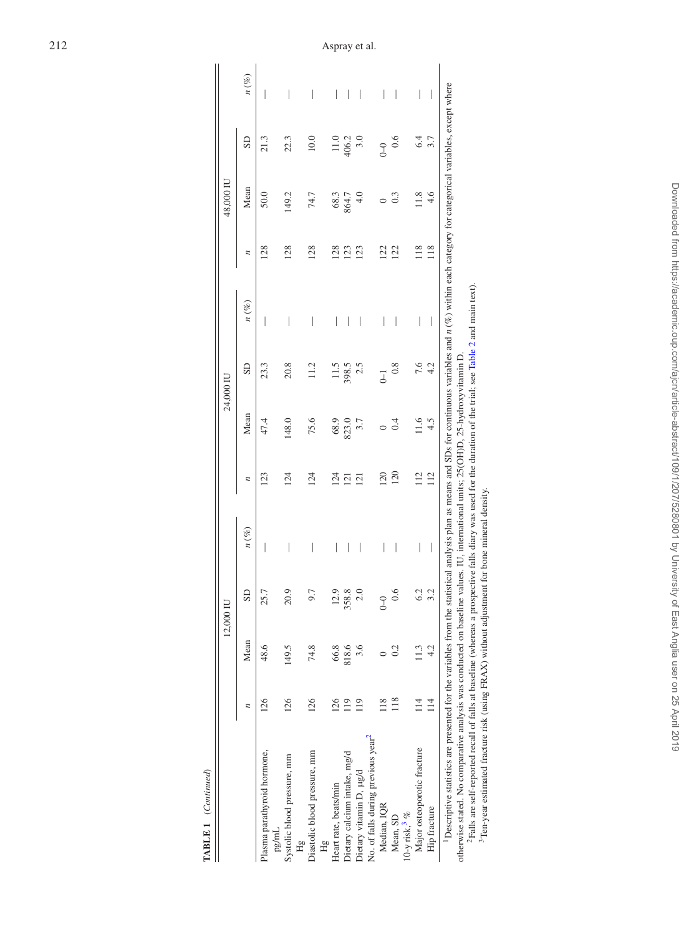|                                                                                                                                                                                                                                                                                                                                                                |     |       | 12,000 IU             |                                       |                |       | 24,000 IL      |                          |                | 48,000 IL |                        |                          |
|----------------------------------------------------------------------------------------------------------------------------------------------------------------------------------------------------------------------------------------------------------------------------------------------------------------------------------------------------------------|-----|-------|-----------------------|---------------------------------------|----------------|-------|----------------|--------------------------|----------------|-----------|------------------------|--------------------------|
|                                                                                                                                                                                                                                                                                                                                                                | n   | Mean  | $\overline{\text{S}}$ | $n\,(\%)$                             | $\overline{a}$ | Mean  | SD             | $n\,(\%)$                | $\overline{a}$ | Mean      | $\overline{\text{SD}}$ | $n\left(\%\right)$       |
| Plasma parathyroid hormone,<br>pg/mL                                                                                                                                                                                                                                                                                                                           | 126 | 48.6  | 25.                   | $\overline{\phantom{a}}$              | 123            | 47.4  | 23.3           | $\overline{\phantom{a}}$ | 128            | 50.0      | 21.3                   | $\overline{\phantom{a}}$ |
| Systolic blood pressure, mm                                                                                                                                                                                                                                                                                                                                    | 126 | 149.5 | $\approx$             | I                                     | 124            | 148.0 | 20.8           | I                        | 128            | 149.2     | 22.3                   | I                        |
| Diastolic blood pressure, mm<br>Hg                                                                                                                                                                                                                                                                                                                             | 126 | 74.8  |                       | I                                     | 124            | 75.6  | 11.2           | I                        | 128            | 74.7      | 10.0                   | I                        |
| Heart rate, beats/min<br>Hg                                                                                                                                                                                                                                                                                                                                    | 126 | 66.8  | $\overline{c}$        | $\overline{\phantom{a}}$              | 124            | 68.9  | 11.5           | I                        | 128            | 68.3      | 11.0                   | $\overline{\phantom{a}}$ |
| Dietary calcium intake, mg/d                                                                                                                                                                                                                                                                                                                                   | 19  | 818.6 | 358.8                 | $\Bigg $                              | 121            | 823.0 | 398.5          | I                        | 123            | 864.7     | 406.2                  | $\bigg $                 |
| Dietary vitamin D, µg/d                                                                                                                                                                                                                                                                                                                                        | 119 | 3.6   |                       | $\begin{array}{c} \hline \end{array}$ | 121            | 3.7   | 2.5            | I                        | 123            | 4.0       | 3.0                    | I                        |
| No. of falls during previous year <sup>2</sup>                                                                                                                                                                                                                                                                                                                 |     |       |                       |                                       |                |       |                |                          |                |           |                        |                          |
| Median, IQR                                                                                                                                                                                                                                                                                                                                                    | 18  |       | $\epsilon$            | I                                     | 120            |       | $\overline{J}$ | I                        | 122            |           | $\sqrt{ }$             | I                        |
| Mean, SD                                                                                                                                                                                                                                                                                                                                                       | 118 | 0.2   |                       | I                                     | 120            | 0.4   | 0.8            | I                        | 122            | 0.3       | 0.6                    | $\overline{\phantom{a}}$ |
| 10-y risk, $\frac{3}{6}$ %                                                                                                                                                                                                                                                                                                                                     |     |       |                       |                                       |                |       |                |                          |                |           |                        |                          |
| Major osteoporotic fracture                                                                                                                                                                                                                                                                                                                                    | 14  | 11.3  | ٢                     | I                                     | 12             | 1.6   | 7.6            | I                        | 118            | 1.8       | 64                     | I                        |
| Hip fracture                                                                                                                                                                                                                                                                                                                                                   | 114 | 4.2   | C                     | $\begin{array}{c} \hline \end{array}$ | 112            | 4.5   | 4.2            | I                        | 118            | 4.6       | 3.7                    | $\overline{\phantom{a}}$ |
| <sup>1</sup> Descriptive statistics are presented for the variables from the statistical analysis plan as means and SDs for continuous variables and $n$ (%) within each category for categorical variables, except where<br>otherwise stated. No comparative analysis was conducted on baseline values. IU, international units; 25(OH)D, 25-hydroxyvitamin D |     |       |                       |                                       |                |       |                |                          |                |           |                        |                          |

<sup>2</sup>Falls are self-reported recall of falls at baseline (whereas a prospective falls diary was used for the duration of the trial; see Table 2 and main text).<br><sup>3</sup>Ten-year estimated fracture risk (using FRAX) without adjustm 2Falls are self-reported recall of falls at baseline (whereas a prospective falls diary was used for the duration of the trial; see [Table](#page-6-0) 2 and main text).

<span id="page-5-1"></span><span id="page-5-0"></span><sup>3</sup>Ten-year estimated fracture risk (using FRAX) without adjustment for bone mineral density.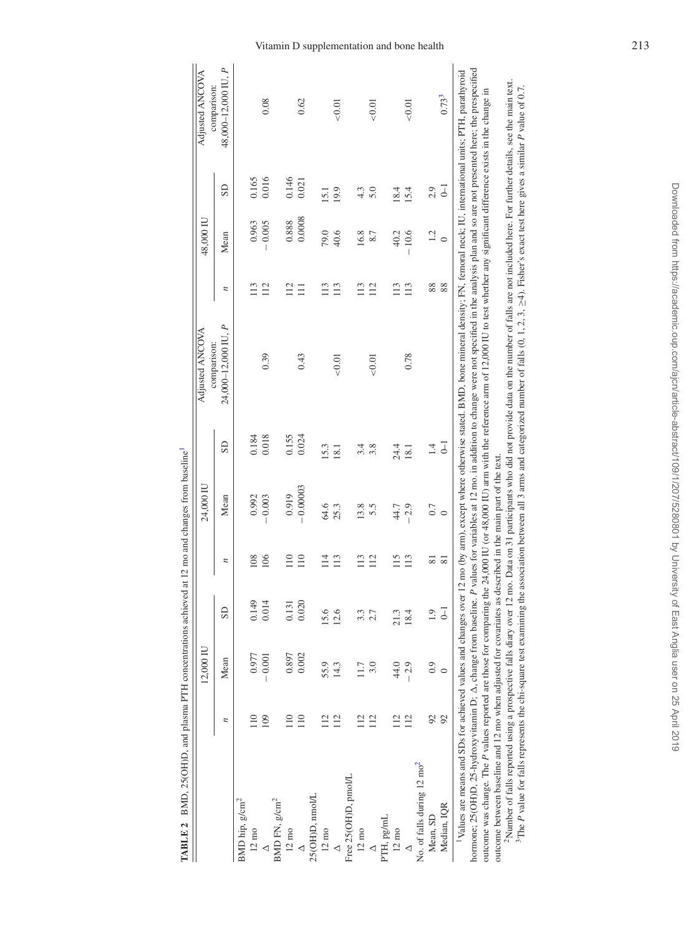|                                                                                                                                                                                                           |              | 12,000 IU |                |                 | 24,000 IU  |                         | Adjusted ANCOVA<br>comparison:                                                                                                                                                                                   |                 | 48,000 IU |                   | Adjusted ANCOVA<br>comparison: |
|-----------------------------------------------------------------------------------------------------------------------------------------------------------------------------------------------------------|--------------|-----------|----------------|-----------------|------------|-------------------------|------------------------------------------------------------------------------------------------------------------------------------------------------------------------------------------------------------------|-----------------|-----------|-------------------|--------------------------------|
|                                                                                                                                                                                                           | $\mathbf{z}$ | Mean      | SD             | $\overline{z}$  | Mean       | $\overline{\text{SD}}$  | 24,000-12,000 IU, P                                                                                                                                                                                              | $\overline{a}$  | Mean      | SD                | 48,000-12,000 IU, P            |
| BMD hip, g/cm <sup>2</sup>                                                                                                                                                                                |              |           |                |                 |            |                         |                                                                                                                                                                                                                  |                 |           |                   |                                |
| $12 \text{ mo}$                                                                                                                                                                                           |              | 0.977     | 0.149          | $\frac{8}{2}$   | 0.992      | $0.184\,$               |                                                                                                                                                                                                                  | $\overline{13}$ | 0.963     | 0.165             |                                |
| $\triangleleft$                                                                                                                                                                                           | 109          | $-0.001$  | 0.014          | 106             | $-0.003$   | 0.018                   | 0.39                                                                                                                                                                                                             | 112             | $-0.005$  | 0.016             | 0.08                           |
| BMD FN, g/cm <sup>2</sup>                                                                                                                                                                                 |              |           |                |                 |            |                         |                                                                                                                                                                                                                  |                 |           |                   |                                |
| $12 \text{ mo}$                                                                                                                                                                                           | $\Xi$        | 0.897     | 0.131          | $\approx$       | 0.919      | 0.155                   |                                                                                                                                                                                                                  | 112             | 0.888     | 0.146             |                                |
| $\triangleleft$                                                                                                                                                                                           | 110          | 0.002     | 0.020          | 110             | $-0.00003$ | 0.024                   | 0.43                                                                                                                                                                                                             | $\Xi$           | 0.0008    | 0.021             | 0.62                           |
| 25(OH)D, nmol/L                                                                                                                                                                                           |              |           |                |                 |            |                         |                                                                                                                                                                                                                  |                 |           |                   |                                |
| $12 \text{ mo}$                                                                                                                                                                                           |              | 55.9      | 15.6           | $\Xi$           | 64.6       | 15.3                    |                                                                                                                                                                                                                  | 113             | 79.0      | 15.1              |                                |
|                                                                                                                                                                                                           | 112          | 14.3      | 12.6           | 113             | 25.3       | 18.1                    | 0.01                                                                                                                                                                                                             | 113             | 40.6      | 19.9              | 0.01                           |
| Free 25(OH)D, pmol/L                                                                                                                                                                                      |              |           |                |                 |            |                         |                                                                                                                                                                                                                  |                 |           |                   |                                |
| $12 \text{ mo}$                                                                                                                                                                                           |              | 11.7      | 3.3            | 13              | 13.8       | 3.4                     |                                                                                                                                                                                                                  | 113             | 16.8      | 4.3               |                                |
| $\triangleleft$                                                                                                                                                                                           | 112          | 3.0       | 2.7            | 112             | 5.5        | 3.8                     | <0.01                                                                                                                                                                                                            | 112             | 8.7       | 5.0               | &0.01                          |
| PTH, pg/mL                                                                                                                                                                                                |              |           |                |                 |            |                         |                                                                                                                                                                                                                  |                 |           |                   |                                |
| $12 \text{ mo}$                                                                                                                                                                                           |              | 44.0      | 21.3           | 15              | 44.7       | 24.4                    |                                                                                                                                                                                                                  | $\Xi$           | 40.2      | 18.4              |                                |
|                                                                                                                                                                                                           | 112          | $-2.9$    | 18.4           | 113             | $-2.9$     | 18.1                    | 0.78                                                                                                                                                                                                             | 113             | $-10.6$   | 15.4              | 0.01                           |
| No. of falls during 12 mo <sup>2</sup>                                                                                                                                                                    |              |           |                |                 |            |                         |                                                                                                                                                                                                                  |                 |           |                   |                                |
| Mean, SD                                                                                                                                                                                                  | $\infty$     | 0.9       | 1.9            | $\overline{8}$  | 0.7        | 1.4                     |                                                                                                                                                                                                                  | 88              | 1.2       | 2.9               |                                |
| Median, IQR                                                                                                                                                                                               | 92           | $\circ$   | $\overline{a}$ | $\overline{81}$ | $\circ$    | $\overline{\mathsf{d}}$ |                                                                                                                                                                                                                  | 88              | $\circ$   | $\overline{\cup}$ | $0.73^{3}$                     |
|                                                                                                                                                                                                           |              |           |                |                 |            |                         | <sup>1</sup> Values are means and SDs for achieved values and changes over 12 mo (by arm), except where otherwise stated. BMD, bone mineral density; FN, femoral neck; IU, international units; PTH, parathyroid |                 |           |                   |                                |
| hormone; 25(OH)D, 25-hydroxyvitamin D; $\Delta$ , change from baseline.                                                                                                                                   |              |           |                |                 |            |                         | P values for variables at 12 mo. in addition to change were not specified in the analysis plan and so are not presented here; the prespecified                                                                   |                 |           |                   |                                |
| outcome was change. The P values reported are those for comparing the 24,000 IU (or 48,000 IU) arm with the reference arm of 12,000 IU to test whether any significant difference exists in the change in |              |           |                |                 |            |                         |                                                                                                                                                                                                                  |                 |           |                   |                                |
| outcome between baseline and 12 mo when adjusted for covariates as described in the main part of the text                                                                                                 |              |           |                |                 |            |                         |                                                                                                                                                                                                                  |                 |           |                   |                                |
|                                                                                                                                                                                                           |              |           |                |                 |            |                         |                                                                                                                                                                                                                  |                 |           |                   |                                |

# <span id="page-6-2"></span><span id="page-6-1"></span><span id="page-6-0"></span>TABLE 2 BMD, 25(OH)D, and plasma PTH concentrations achieved at 12 mo and changes from baseline **TABLE 2** BMD, 25(OH)D, and plasma PTH concentrations achieved at 12 mo and changes from baselin[e1](#page-6-1)

<sup>2</sup>Number of falls reported using a prospective falls diary over 12 mo. Data on 31 participants who did not provide data on the number of falls are not included here. For further details, see the main text.<br><sup>3</sup>The P value 2Number of falls reported using a prospective falls diary over 12 mo. Data on 31 participants who did not provide data on the number of falls are not included here. For further details, see the main text. 3The *P* value for falls represents the chi-square test examining the association between all 3 arms and categorized number of falls (0, 1, 2, 3, ≥4). Fisher's exact test here gives a similar *P* value of 0.7.

### Vitamin D supplementation and bone health 213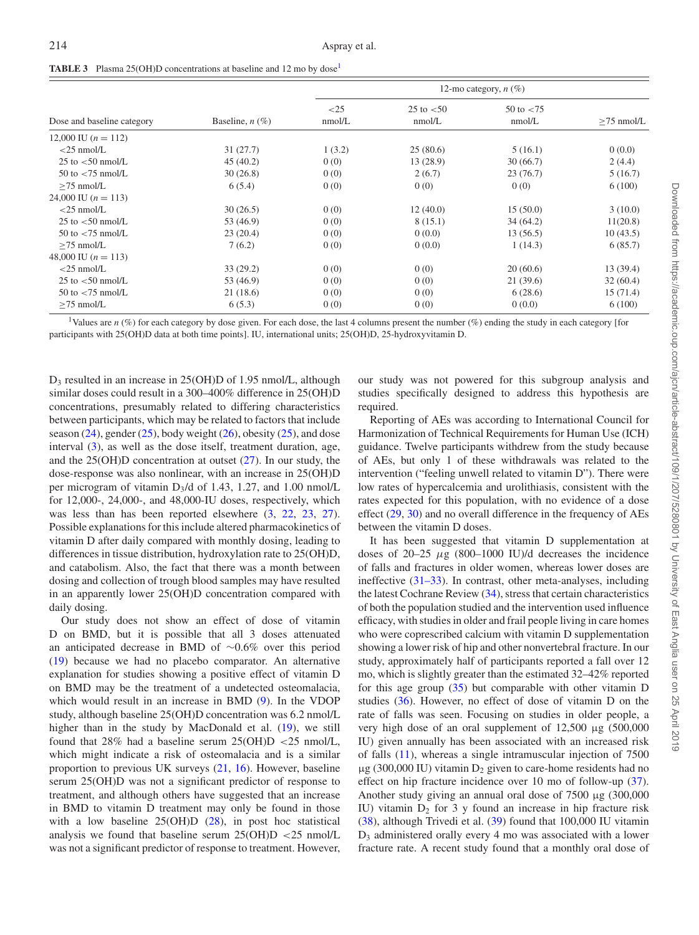<span id="page-7-0"></span>

|  | <b>TABLE 3</b> Plasma 25(OH)D concentrations at baseline and 12 mo by dose <sup>1</sup> |  |  |  |
|--|-----------------------------------------------------------------------------------------|--|--|--|
|--|-----------------------------------------------------------------------------------------|--|--|--|

|                                             |                   |               |                                 | 12-mo category, $n$ (%)         |              |
|---------------------------------------------|-------------------|---------------|---------------------------------|---------------------------------|--------------|
| Dose and baseline category                  | Baseline, $n(\%)$ | <25<br>nmol/L | $25 \text{ to } < 50$<br>nmol/L | $50 \text{ to } < 75$<br>nmol/L | $>75$ nmol/L |
| 12,000 IU $(n = 112)$                       |                   |               |                                 |                                 |              |
| $<$ 25 nmol/L                               | 31(27.7)          | 1(3.2)        | 25(80.6)                        | 5(16.1)                         | 0(0.0)       |
| 25 to $<$ 50 nmol/L                         | 45(40.2)          | 0(0)          | 13(28.9)                        | 30(66.7)                        | 2(4.4)       |
| $50$ to $\langle 75 \text{ nmol/L} \rangle$ | 30(26.8)          | 0(0)          | 2(6.7)                          | 23(76.7)                        | 5(16.7)      |
| $>75$ nmol/L                                | 6(5.4)            | 0(0)          | 0(0)                            | 0(0)                            | 6(100)       |
| 24,000 IU $(n = 113)$                       |                   |               |                                 |                                 |              |
| $<$ 25 nmol/L                               | 30(26.5)          | 0(0)          | 12(40.0)                        | 15(50.0)                        | 3(10.0)      |
| 25 to $<$ 50 nmol/L                         | 53 (46.9)         | 0(0)          | 8(15.1)                         | 34 (64.2)                       | 11(20.8)     |
| $50$ to $\langle 75 \text{ nmol/L} \rangle$ | 23(20.4)          | 0(0)          | 0(0.0)                          | 13(56.5)                        | 10(43.5)     |
| $>75$ nmol/L                                | 7(6.2)            | 0(0)          | 0(0.0)                          | 1(14.3)                         | 6(85.7)      |
| 48,000 IU $(n = 113)$                       |                   |               |                                 |                                 |              |
| $<$ 25 nmol/L                               | 33(29.2)          | 0(0)          | 0(0)                            | 20(60.6)                        | 13 (39.4)    |
| 25 to $<$ 50 nmol/L                         | 53 (46.9)         | 0(0)          | 0(0)                            | 21 (39.6)                       | 32(60.4)     |
| $50$ to $\langle 75 \text{ nmol/L} \rangle$ | 21(18.6)          | 0(0)          | 0(0)                            | 6(28.6)                         | 15(71.4)     |
| $>75$ nmol/L                                | 6(5.3)            | 0(0)          | 0(0)                            | 0(0.0)                          | 6(100)       |

<span id="page-7-1"></span><sup>1</sup>Values are *n* (%) for each category by dose given. For each dose, the last 4 columns present the number (%) ending the study in each category [for participants with 25(OH)D data at both time points]. IU, international units; 25(OH)D, 25-hydroxyvitamin D.

D3 resulted in an increase in 25(OH)D of 1.95 nmol/L, although similar doses could result in a 300–400% difference in 25(OH)D concentrations, presumably related to differing characteristics between participants, which may be related to factors that include season  $(24)$ , gender  $(25)$ , body weight  $(26)$ , obesity  $(25)$ , and dose interval [\(3\)](#page-9-2), as well as the dose itself, treatment duration, age, and the 25(OH)D concentration at outset [\(27\)](#page-10-2). In our study, the dose-response was also nonlinear, with an increase in 25(OH)D per microgram of vitamin D3/d of 1.43, 1.27, and 1.00 nmol/L for 12,000-, 24,000-, and 48,000-IU doses, respectively, which was less than has been reported elsewhere [\(3,](#page-9-2) [22,](#page-9-19) [23,](#page-9-20) [27\)](#page-10-2). Possible explanations for this include altered pharmacokinetics of vitamin D after daily compared with monthly dosing, leading to differences in tissue distribution, hydroxylation rate to 25(OH)D, and catabolism. Also, the fact that there was a month between dosing and collection of trough blood samples may have resulted in an apparently lower 25(OH)D concentration compared with daily dosing.

Our study does not show an effect of dose of vitamin D on BMD, but it is possible that all 3 doses attenuated an anticipated decrease in BMD of ∼0.6% over this period [\(19\)](#page-9-16) because we had no placebo comparator. An alternative explanation for studies showing a positive effect of vitamin D on BMD may be the treatment of a undetected osteomalacia, which would result in an increase in BMD [\(9\)](#page-9-22). In the VDOP study, although baseline 25(OH)D concentration was 6.2 nmol/L higher than in the study by MacDonald et al. [\(19\)](#page-9-16), we still found that 28% had a baseline serum  $25(OH)D < 25$  nmol/L, which might indicate a risk of osteomalacia and is a similar proportion to previous UK surveys [\(21,](#page-9-18) [16\)](#page-9-13). However, baseline serum 25(OH)D was not a significant predictor of response to treatment, and although others have suggested that an increase in BMD to vitamin D treatment may only be found in those with a low baseline 25(OH)D [\(28\)](#page-10-3), in post hoc statistical analysis we found that baseline serum  $25(OH)D < 25$  nmol/L was not a significant predictor of response to treatment. However, our study was not powered for this subgroup analysis and studies specifically designed to address this hypothesis are required.

Reporting of AEs was according to International Council for Harmonization of Technical Requirements for Human Use (ICH) guidance. Twelve participants withdrew from the study because of AEs, but only 1 of these withdrawals was related to the intervention ("feeling unwell related to vitamin D"). There were low rates of hypercalcemia and urolithiasis, consistent with the rates expected for this population, with no evidence of a dose effect [\(29,](#page-10-4) [30\)](#page-10-5) and no overall difference in the frequency of AEs between the vitamin D doses.

It has been suggested that vitamin D supplementation at doses of 20–25  $\mu$ g (800–1000 IU)/d decreases the incidence of falls and fractures in older women, whereas lower doses are ineffective [\(31–33\)](#page-10-6). In contrast, other meta-analyses, including the latest Cochrane Review [\(34\)](#page-10-7), stress that certain characteristics of both the population studied and the intervention used influence efficacy, with studies in older and frail people living in care homes who were coprescribed calcium with vitamin D supplementation showing a lower risk of hip and other nonvertebral fracture. In our study, approximately half of participants reported a fall over 12 mo, which is slightly greater than the estimated 32–42% reported for this age group  $(35)$  but comparable with other vitamin D studies [\(36\)](#page-10-9). However, no effect of dose of vitamin D on the rate of falls was seen. Focusing on studies in older people, a very high dose of an oral supplement of 12,500 μg (500,000 IU) given annually has been associated with an increased risk of falls [\(11\)](#page-9-8), whereas a single intramuscular injection of 7500  $\mu$ g (300,000 IU) vitamin D<sub>2</sub> given to care-home residents had no effect on hip fracture incidence over 10 mo of follow-up [\(37\)](#page-10-10). Another study giving an annual oral dose of 7500 μg (300,000 IU) vitamin  $D_2$  for 3 y found an increase in hip fracture risk [\(38\)](#page-10-11), although Trivedi et al. [\(39\)](#page-10-12) found that 100,000 IU vitamin  $D_3$  administered orally every 4 mo was associated with a lower fracture rate. A recent study found that a monthly oral dose of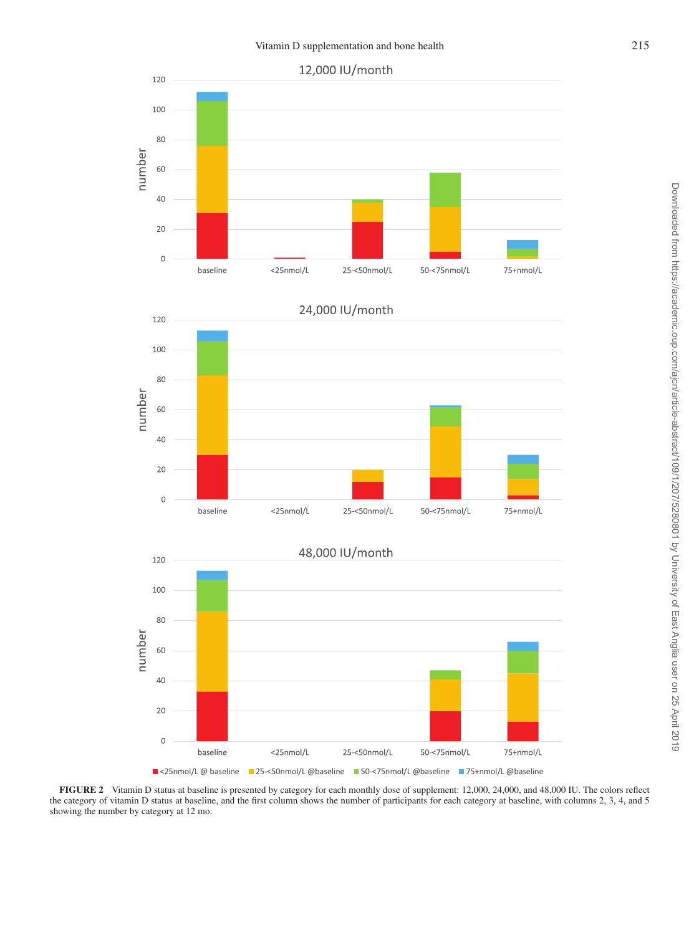<span id="page-8-0"></span>



48,000 IU/month 120 100 80 number 60 40 20  $\circ$ baseline <25nmol/L 25-<50nmol/L 50-<75nmol/L 75+nmol/L ■<25nmol/L@baseline ■25-<50nmol/L@baseline ■50-<75nmol/L@baseline ■75+nmol/L@baseline

**FIGURE 2** Vitamin D status at baseline is presented by category for each monthly dose of supplement: 12,000, 24,000, and 48,000 IU. The colors reflect the category of vitamin D status at baseline, and the first column shows the number of participants for each category at baseline, with columns 2, 3, 4, and 5 showing the number by category at 12 mo.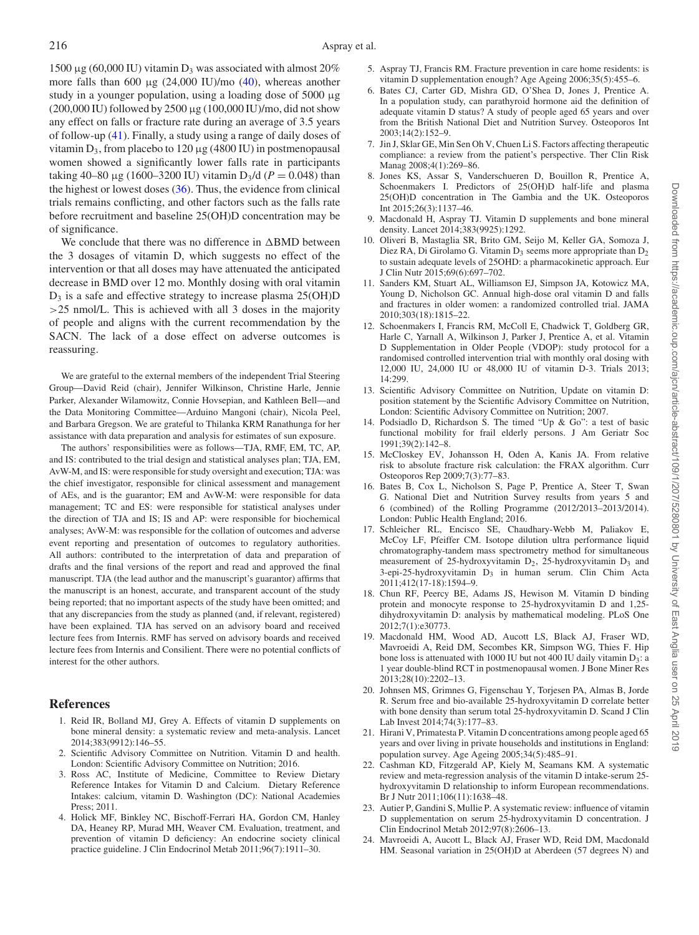1500 μg (60,000 IU) vitamin D<sub>3</sub> was associated with almost  $20\%$ more falls than 600  $\mu$ g (24,000 IU)/mo [\(40\)](#page-10-13), whereas another study in a younger population, using a loading dose of 5000 μg (200,000 IU) followed by 2500 μg (100,000 IU)/mo, did not show any effect on falls or fracture rate during an average of 3.5 years of follow-up [\(41\)](#page-10-14). Finally, a study using a range of daily doses of vitamin D<sub>3</sub>, from placebo to 120 μg (4800 IU) in postmenopausal women showed a significantly lower falls rate in participants taking 40–80 μg (1600–3200 IU) vitamin D<sub>3</sub>/d ( $P = 0.048$ ) than the highest or lowest doses  $(36)$ . Thus, the evidence from clinical trials remains conflicting, and other factors such as the falls rate before recruitment and baseline 25(OH)D concentration may be of significance.

We conclude that there was no difference in  $\triangle BMD$  between the 3 dosages of vitamin D, which suggests no effect of the intervention or that all doses may have attenuated the anticipated decrease in BMD over 12 mo. Monthly dosing with oral vitamin  $D_3$  is a safe and effective strategy to increase plasma 25(OH)D >25 nmol/L. This is achieved with all 3 doses in the majority of people and aligns with the current recommendation by the SACN. The lack of a dose effect on adverse outcomes is reassuring.

We are grateful to the external members of the independent Trial Steering Group—David Reid (chair), Jennifer Wilkinson, Christine Harle, Jennie Parker, Alexander Wilamowitz, Connie Hovsepian, and Kathleen Bell—and the Data Monitoring Committee—Arduino Mangoni (chair), Nicola Peel, and Barbara Gregson. We are grateful to Thilanka KRM Ranathunga for her assistance with data preparation and analysis for estimates of sun exposure.

The authors' responsibilities were as follows—TJA, RMF, EM, TC, AP, and IS: contributed to the trial design and statistical analyses plan; TJA, EM, AvW-M, and IS: were responsible for study oversight and execution; TJA: was the chief investigator, responsible for clinical assessment and management of AEs, and is the guarantor; EM and AvW-M: were responsible for data management; TC and ES: were responsible for statistical analyses under the direction of TJA and IS; IS and AP: were responsible for biochemical analyses; AvW-M: was responsible for the collation of outcomes and adverse event reporting and presentation of outcomes to regulatory authorities. All authors: contributed to the interpretation of data and preparation of drafts and the final versions of the report and read and approved the final manuscript. TJA (the lead author and the manuscript's guarantor) affirms that the manuscript is an honest, accurate, and transparent account of the study being reported; that no important aspects of the study have been omitted; and that any discrepancies from the study as planned (and, if relevant, registered) have been explained. TJA has served on an advisory board and received lecture fees from Internis. RMF has served on advisory boards and received lecture fees from Internis and Consilient. There were no potential conflicts of interest for the other authors.

### **References**

- <span id="page-9-0"></span>1. Reid IR, Bolland MJ, Grey A. Effects of vitamin D supplements on bone mineral density: a systematic review and meta-analysis. Lancet 2014;383(9912):146–55.
- <span id="page-9-1"></span>Scientific Advisory Committee on Nutrition. Vitamin D and health. London: Scientific Advisory Committee on Nutrition; 2016.
- <span id="page-9-2"></span>3. Ross AC, Institute of Medicine, Committee to Review Dietary Reference Intakes for Vitamin D and Calcium. Dietary Reference Intakes: calcium, vitamin D. Washington (DC): National Academies Press; 2011.
- <span id="page-9-3"></span>4. Holick MF, Binkley NC, Bischoff-Ferrari HA, Gordon CM, Hanley DA, Heaney RP, Murad MH, Weaver CM. Evaluation, treatment, and prevention of vitamin D deficiency: An endocrine society clinical practice guideline. J Clin Endocrinol Metab 2011;96(7):1911–30.
- <span id="page-9-4"></span>5. Aspray TJ, Francis RM. Fracture prevention in care home residents: is vitamin D supplementation enough? Age Ageing 2006;35(5):455–6.
- <span id="page-9-5"></span>6. Bates CJ, Carter GD, Mishra GD, O'Shea D, Jones J, Prentice A. In a population study, can parathyroid hormone aid the definition of adequate vitamin D status? A study of people aged 65 years and over from the British National Diet and Nutrition Survey. Osteoporos Int 2003;14(2):152–9.
- <span id="page-9-6"></span>7. Jin J, Sklar GE, Min Sen Oh V, Chuen Li S. Factors affecting therapeutic compliance: a review from the patient's perspective. Ther Clin Risk Manag 2008;4(1):269–86.
- <span id="page-9-7"></span>8. Jones KS, Assar S, Vanderschueren D, Bouillon R, Prentice A, Schoenmakers I. Predictors of 25(OH)D half-life and plasma 25(OH)D concentration in The Gambia and the UK. Osteoporos Int 2015;26(3):1137–46.
- <span id="page-9-22"></span>9. Macdonald H, Aspray TJ. Vitamin D supplements and bone mineral density. Lancet 2014;383(9925):1292.
- 10. Oliveri B, Mastaglia SR, Brito GM, Seijo M, Keller GA, Somoza J, Diez RA, Di Girolamo G. Vitamin D<sub>3</sub> seems more appropriate than D<sub>2</sub> to sustain adequate levels of 25OHD: a pharmacokinetic approach. Eur J Clin Nutr 2015;69(6):697–702.
- <span id="page-9-8"></span>11. Sanders KM, Stuart AL, Williamson EJ, Simpson JA, Kotowicz MA, Young D, Nicholson GC. Annual high-dose oral vitamin D and falls and fractures in older women: a randomized controlled trial. JAMA 2010;303(18):1815–22.
- <span id="page-9-9"></span>12. Schoenmakers I, Francis RM, McColl E, Chadwick T, Goldberg GR, Harle C, Yarnall A, Wilkinson J, Parker J, Prentice A, et al. Vitamin D Supplementation in Older People (VDOP): study protocol for a randomised controlled intervention trial with monthly oral dosing with 12,000 IU, 24,000 IU or 48,000 IU of vitamin D-3. Trials 2013; 14:299.
- <span id="page-9-10"></span>13. Scientific Advisory Committee on Nutrition, Update on vitamin D: position statement by the Scientific Advisory Committee on Nutrition, London: Scientific Advisory Committee on Nutrition; 2007.
- <span id="page-9-11"></span>14. Podsiadlo D, Richardson S. The timed "Up & Go": a test of basic functional mobility for frail elderly persons. J Am Geriatr Soc 1991;39(2):142–8.
- <span id="page-9-12"></span>15. McCloskey EV, Johansson H, Oden A, Kanis JA. From relative risk to absolute fracture risk calculation: the FRAX algorithm. Curr Osteoporos Rep 2009;7(3):77–83.
- <span id="page-9-13"></span>16. Bates B, Cox L, Nicholson S, Page P, Prentice A, Steer T, Swan G. National Diet and Nutrition Survey results from years 5 and 6 (combined) of the Rolling Programme (2012/2013–2013/2014). London: Public Health England; 2016.
- <span id="page-9-14"></span>17. Schleicher RL, Encisco SE, Chaudhary-Webb M, Paliakov E, McCoy LF, Pfeiffer CM. Isotope dilution ultra performance liquid chromatography-tandem mass spectrometry method for simultaneous measurement of 25-hydroxyvitamin  $D_2$ , 25-hydroxyvitamin  $D_3$  and 3-epi-25-hydroxyvitamin D<sub>3</sub> in human serum. Clin Chim Acta 2011;412(17-18):1594–9.
- <span id="page-9-15"></span>18. Chun RF, Peercy BE, Adams JS, Hewison M. Vitamin D binding protein and monocyte response to 25-hydroxyvitamin D and 1,25 dihydroxyvitamin D: analysis by mathematical modeling. PLoS One 2012;7(1):e30773.
- <span id="page-9-16"></span>19. Macdonald HM, Wood AD, Aucott LS, Black AJ, Fraser WD, Mavroeidi A, Reid DM, Secombes KR, Simpson WG, Thies F. Hip bone loss is attenuated with 1000 IU but not 400 IU daily vitamin  $D_3$ : a 1 year double-blind RCT in postmenopausal women. J Bone Miner Res 2013;28(10):2202–13.
- <span id="page-9-17"></span>20. Johnsen MS, Grimnes G, Figenschau Y, Torjesen PA, Almas B, Jorde R. Serum free and bio-available 25-hydroxyvitamin D correlate better with bone density than serum total 25-hydroxyvitamin D. Scand J Clin Lab Invest 2014;74(3):177–83.
- <span id="page-9-18"></span>21. Hirani V, Primatesta P. Vitamin D concentrations among people aged 65 years and over living in private households and institutions in England: population survey. Age Ageing 2005;34(5):485–91.
- <span id="page-9-19"></span>22. Cashman KD, Fitzgerald AP, Kiely M, Seamans KM. A systematic review and meta-regression analysis of the vitamin D intake-serum 25 hydroxyvitamin D relationship to inform European recommendations. Br J Nutr 2011;106(11):1638–48.
- <span id="page-9-20"></span>23. Autier P, Gandini S, Mullie P. A systematic review: influence of vitamin D supplementation on serum 25-hydroxyvitamin D concentration. J Clin Endocrinol Metab 2012;97(8):2606–13.
- <span id="page-9-21"></span>24. Mavroeidi A, Aucott L, Black AJ, Fraser WD, Reid DM, Macdonald HM. Seasonal variation in 25(OH)D at Aberdeen (57 degrees N) and